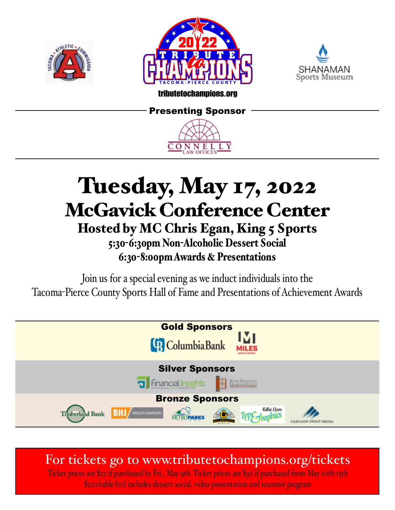





### tributetochampions.org

### Presenting Sponsor



# Tuesday, May 17, 2022 McGavick Conference Center Hosted by MC Chris Egan, King 5 Sports 5:30-6:30pm Non-Alcoholic Dessert Social 6:30-8:00pm Awards & Presentations

Join us for a special evening as we induct individuals into the Tacoma-Pierce County Sports Hall of Fame and Presentations of Achievement Awards



For tickets go to www.tributetochampions.org/tickets

Ticket prices are \$22 if purchased by Fri., May 9th. Ticket prices are \$30 if purchased from May 10th-13th \$220/table (10) includes dessert social, video presentation and souvenir program